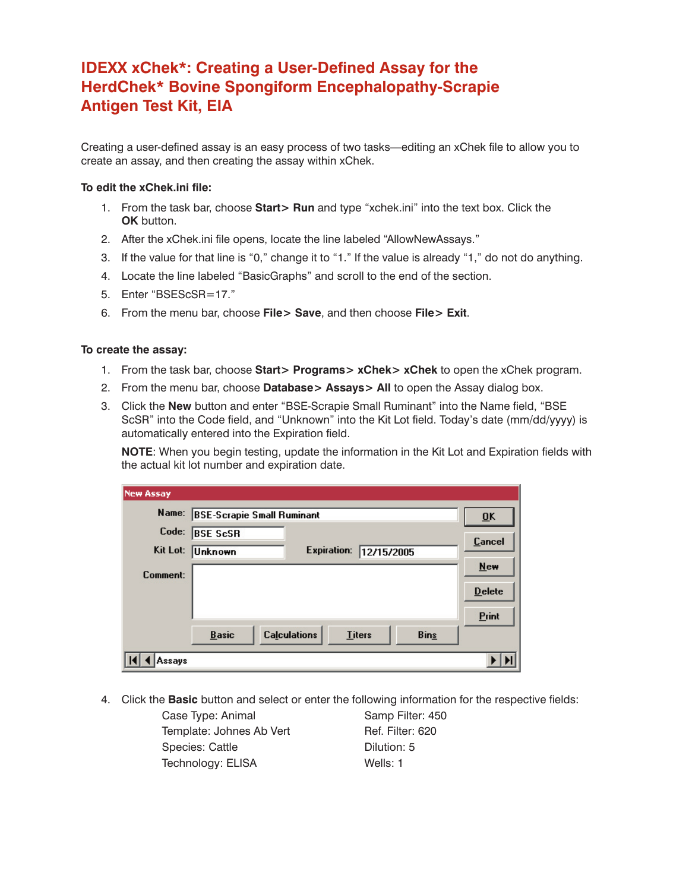## **IDEXX xChek\*: Creating a User-Defined Assay for the HerdChek\* Bovine Spongiform Encephalopathy-Scrapie Antigen Test Kit, EIA**

Creating a user-defined assay is an easy process of two tasks—editing an xChek file to allow you to create an assay, and then creating the assay within xChek.

## **To edit the xChek.ini file:**

- 1. From the task bar, choose **Start> Run** and type "xchek.ini" into the text box. Click the **OK** button.
- 2. After the xChek.ini file opens, locate the line labeled "AllowNewAssays."
- 3. If the value for that line is "0," change it to "1." If the value is already "1," do not do anything.
- 4. Locate the line labeled "BasicGraphs" and scroll to the end of the section.
- 5. Enter "BSEScSR=17."
- 6. From the menu bar, choose **File> Save**, and then choose **File> Exit**.

## **To create the assay:**

- 1. From the task bar, choose **Start> Programs> xChek> xChek** to open the xChek program.
- 2. From the menu bar, choose **Database> Assays> All** to open the Assay dialog box.
- 3. Click the **New** button and enter "BSE-Scrapie Small Ruminant" into the Name field, "BSE ScSR" into the Code field, and "Unknown" into the Kit Lot field. Today's date (mm/dd/yyyy) is automatically entered into the Expiration field.

**NOTE**: When you begin testing, update the information in the Kit Lot and Expiration fields with the actual kit lot number and expiration date.

| <b>New Assay</b> |                                   |                     |               |                           |               |
|------------------|-----------------------------------|---------------------|---------------|---------------------------|---------------|
| Name:            | <b>BSE-Scrapie Small Ruminant</b> |                     |               | $\overline{\mathbf{0}}$ K |               |
| Code:            | <b>BSE ScSR</b>                   |                     |               |                           | <b>Cancel</b> |
| Kit Lot:         | Unknown                           | <b>Expiration:</b>  | 12/15/2005    |                           |               |
| Comment:         |                                   |                     |               |                           | New           |
|                  |                                   |                     |               |                           | <b>Delete</b> |
|                  |                                   |                     |               |                           | Print         |
|                  | <b>Basic</b>                      | <b>Calculations</b> | <b>Titers</b> | <b>Bins</b>               |               |
| Assavs           |                                   |                     |               |                           |               |

4. Click the **Basic** button and select or enter the following information for the respective fields:

Case Type: Animal Samp Filter: 450 Template: Johnes Ab Vert Ref. Filter: 620 Species: Cattle **Dilution: 5** Technology: ELISA Wells: 1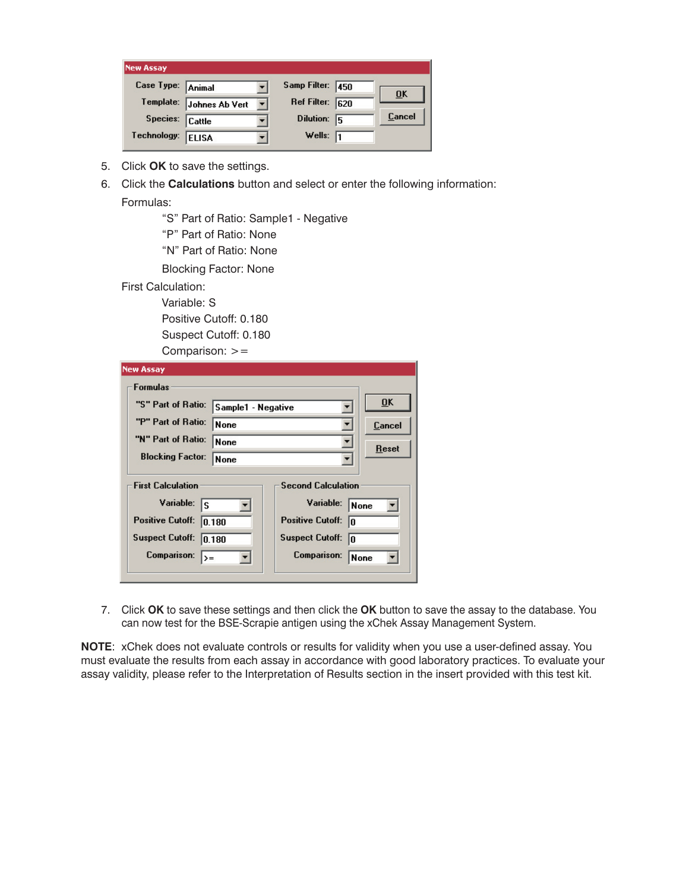| <b>New Assay</b>  |                |                   |    |                           |
|-------------------|----------------|-------------------|----|---------------------------|
| Case Type: Animal |                | Samp Filter: 450  |    | $\overline{\mathbf{0}}$ K |
| Template:         | Johnes Ab Vert | Ref Filter: 620   |    |                           |
| Species:          | <b>Cattle</b>  | Dilution:         | 15 | Cancel                    |
| Technology:       | <b>ELISA</b>   | Wells: $\sqrt{1}$ |    |                           |

- 5. Click **OK** to save the settings.
- 6. Click the **Calculations** button and select or enter the following information:

Formulas:

 "S" Part of Ratio: Sample1 - Negative "P" Part of Ratio: None "N" Part of Ratio: None Blocking Factor: None First Calculation:

Variable: S

 Positive Cutoff: 0.180 Suspect Cutoff: 0.180 Comparison:  $>=$ 

| <b>Formulas</b>                          |                               |           |
|------------------------------------------|-------------------------------|-----------|
| "S" Part of Ratio:<br>Sample1 - Negative |                               | <b>OK</b> |
| "P" Part of Ratio:<br><b>None</b>        |                               | Cancel    |
| "N" Part of Ratio:<br><b>None</b>        |                               | Reset     |
| <b>Blocking Factor:</b><br>None          |                               |           |
| <b>First Calculation</b>                 | <b>Second Calculation</b>     |           |
| Variable:<br>ls                          | Variable:<br>None             |           |
| <b>Positive Cutoff:</b><br>0.180         | <b>Positive Cutoff:</b><br>10 |           |
| <b>Suspect Cutoff:</b><br>0.180          | <b>Suspect Cutoff:</b><br>10  |           |
| Comparison:<br>l>=                       | <b>Comparison:</b><br>None    |           |

7. Click **OK** to save these settings and then click the **OK** button to save the assay to the database. You can now test for the BSE-Scrapie antigen using the xChek Assay Management System.

**NOTE**: xChek does not evaluate controls or results for validity when you use a user-defined assay. You must evaluate the results from each assay in accordance with good laboratory practices. To evaluate your assay validity, please refer to the Interpretation of Results section in the insert provided with this test kit.